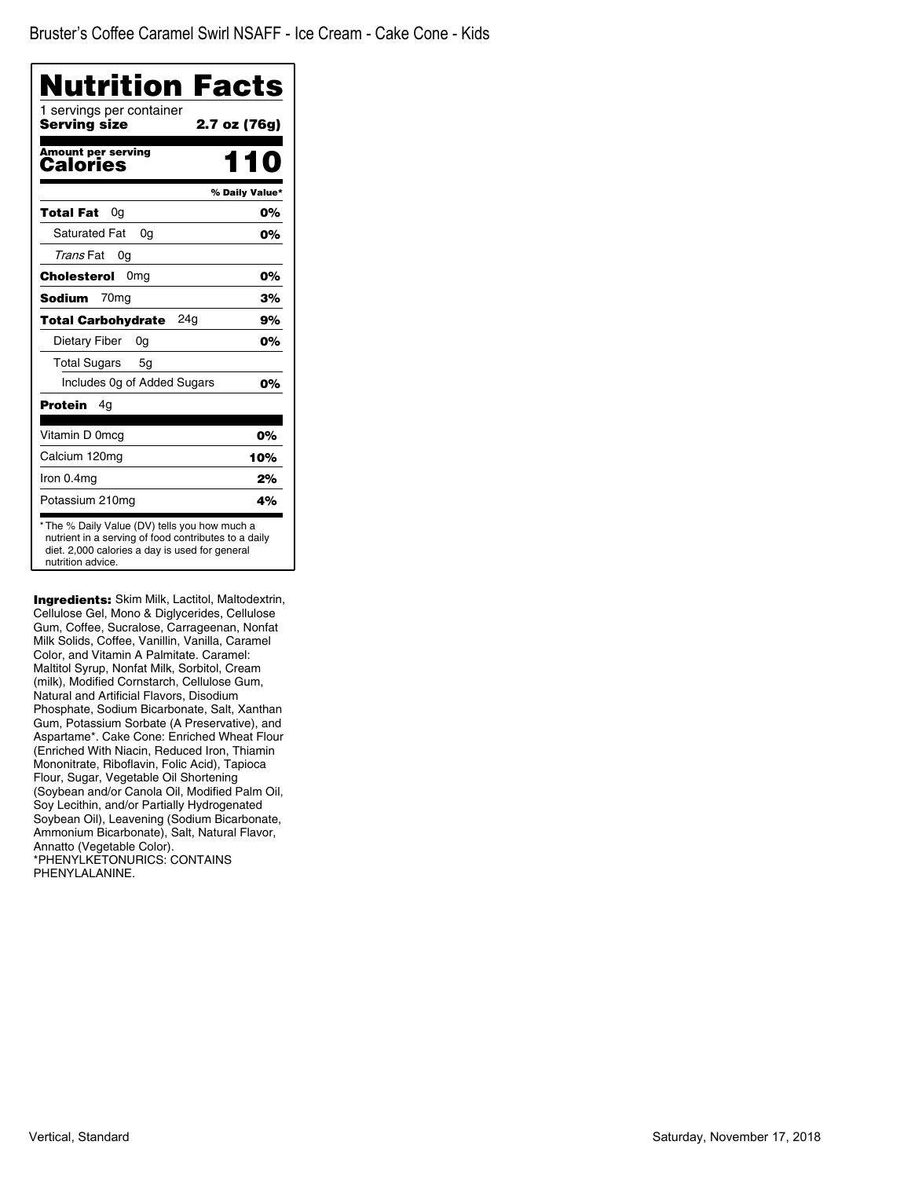| Nutrition Facts<br>1 servings per container<br>Serving size | 2.7 oz (76g)   |
|-------------------------------------------------------------|----------------|
|                                                             |                |
| <b>Amount per serving</b><br>Calories                       |                |
|                                                             | % Daily Value* |
| Total Fat<br>0a                                             | 0%             |
| <b>Saturated Fat</b><br>0q                                  | 0%             |
| Trans Fat<br>0g                                             |                |
| Cholesterol<br>0 <sub>mg</sub>                              | 0%             |
| Sodium<br>70 <sub>mg</sub>                                  | 3%             |
| 24a<br><b>Total Carbohydrate</b>                            | 9%             |
| Dietary Fiber<br>0g                                         | 0%             |
| <b>Total Sugars</b><br>5g                                   |                |
| Includes Og of Added Sugars                                 | 0%             |
| Protein<br>4g                                               |                |
| Vitamin D 0mcg                                              | 0%             |
| Calcium 120mg                                               | 10%            |
| Iron 0.4mg                                                  | 2%             |
| Potassium 210mg                                             | 4%             |

Ingredients: Skim Milk, Lactitol, Maltodextrin, Cellulose Gel, Mono & Diglycerides, Cellulose Gum, Coffee, Sucralose, Carrageenan, Nonfat Milk Solids, Coffee, Vanillin, Vanilla, Caramel Color, and Vitamin A Palmitate. Caramel: Maltitol Syrup, Nonfat Milk, Sorbitol, Cream (milk), Modified Cornstarch, Cellulose Gum, Natural and Artificial Flavors, Disodium Phosphate, Sodium Bicarbonate, Salt, Xanthan Gum, Potassium Sorbate (A Preservative), and Aspartame\*. Cake Cone: Enriched Wheat Flour (Enriched With Niacin, Reduced Iron, Thiamin Mononitrate, Riboflavin, Folic Acid), Tapioca Flour, Sugar, Vegetable Oil Shortening (Soybean and/or Canola Oil, Modified Palm Oil, Soy Lecithin, and/or Partially Hydrogenated Soybean Oil), Leavening (Sodium Bicarbonate, Ammonium Bicarbonate), Salt, Natural Flavor, Annatto (Vegetable Color). \*PHENYLKETONURICS: CONTAINS PHENYLALANINE.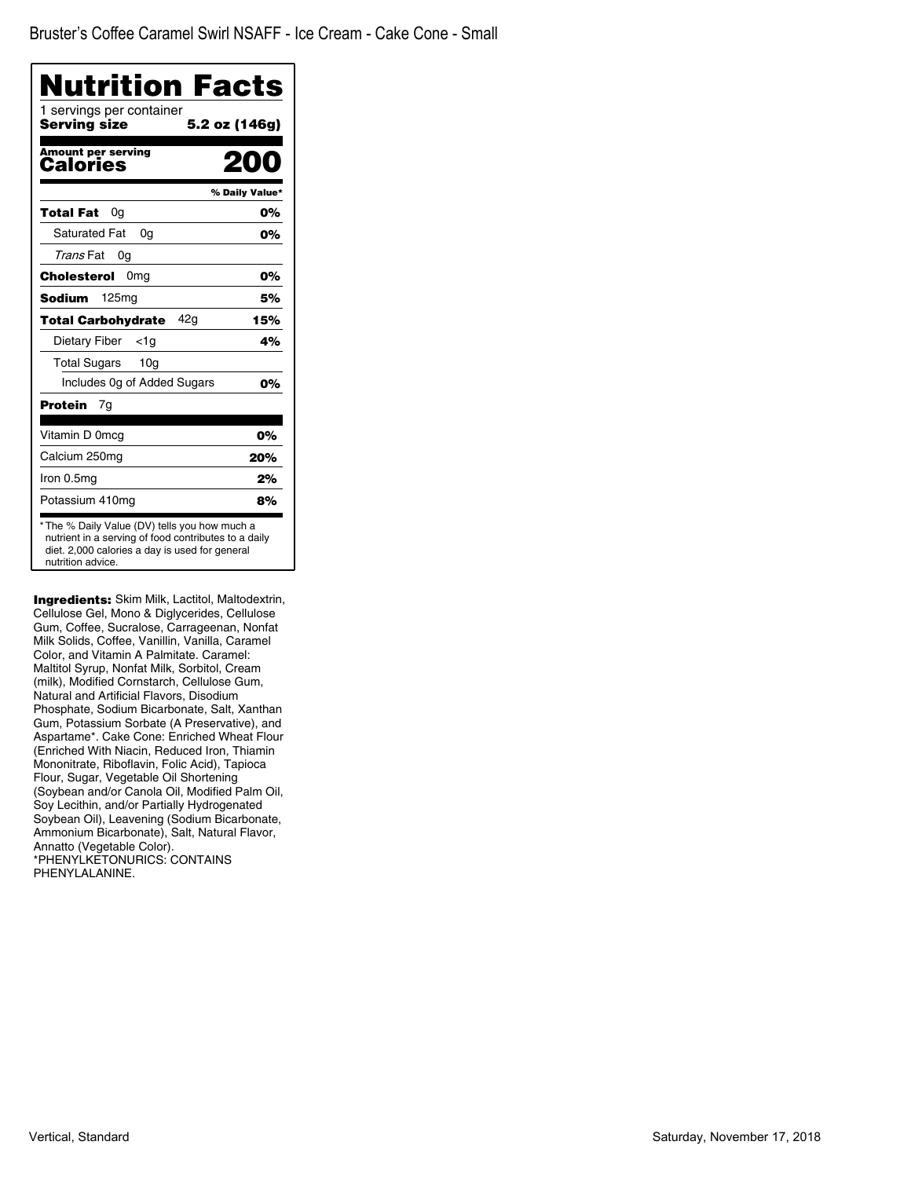| Nutrition Facts<br>1 servings per container<br>Serving size | 5.2 oz (146g)  |
|-------------------------------------------------------------|----------------|
| <b>Amount per serving</b><br>Calories                       |                |
|                                                             | % Daily Value* |
| <b>Total Fat</b><br>0g                                      | 0%             |
| <b>Saturated Fat</b><br>0a                                  | 0%             |
| Trans Fat<br>0g                                             |                |
| Cholesterol<br>0mg                                          | 0%             |
| <b>Sodium</b><br>125mg                                      | 5%             |
| 42a<br><b>Total Carbohydrate</b>                            | 15%            |
| Dietary Fiber<br><1a                                        | 4%             |
| Total Sugars<br>10 <sub>q</sub>                             |                |
| Includes Og of Added Sugars                                 | 0%             |
| <b>Protein</b><br>7g                                        |                |
| Vitamin D 0mcg                                              | 0%             |
| Calcium 250mg                                               | 20%            |
| Iron 0.5mg                                                  | 2%             |
| Potassium 410mg                                             | 8%             |

**Ingredients:** Skim Milk, Lactitol, Maltodextrin, Cellulose Gel, Mono & Diglycerides, Cellulose Gum, Coffee, Sucralose, Carrageenan, Nonfat Milk Solids, Coffee, Vanillin, Vanilla, Caramel Color, and Vitamin A Palmitate. Caramel: Maltitol Syrup, Nonfat Milk, Sorbitol, Cream (milk), Modified Cornstarch, Cellulose Gum, Natural and Artificial Flavors, Disodium Phosphate, Sodium Bicarbonate, Salt, Xanthan Gum, Potassium Sorbate (A Preservative), and Aspartame\*. Cake Cone: Enriched Wheat Flour (Enriched With Niacin, Reduced Iron, Thiamin Mononitrate, Riboflavin, Folic Acid), Tapioca Flour, Sugar, Vegetable Oil Shortening (Soybean and/or Canola Oil, Modified Palm Oil, Soy Lecithin, and/or Partially Hydrogenated Soybean Oil), Leavening (Sodium Bicarbonate, Ammonium Bicarbonate), Salt, Natural Flavor, Annatto (Vegetable Color). \*PHENYLKETONURICS: CONTAINS PHENYLALANINE.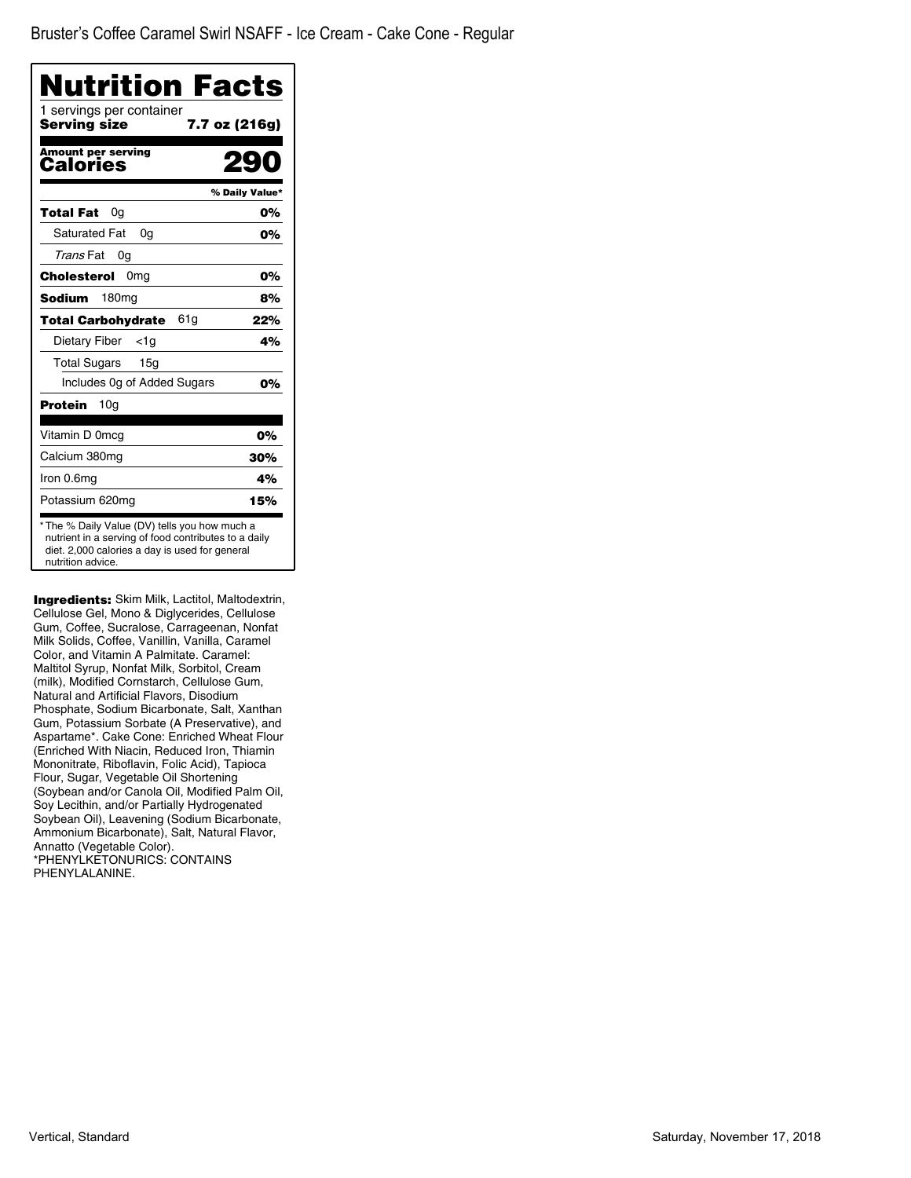| Nutrition Facts                          |                |
|------------------------------------------|----------------|
| 1 servings per container<br>Serving size | 7.7 oz (216g)  |
| <b>Amount per serving</b><br>Calories    |                |
|                                          | % Daily Value* |
| Total Fat<br>0g                          | 0%             |
| <b>Saturated Fat</b><br>0a               | 0%             |
| Trans Fat<br>0g                          |                |
| Cholesterol<br>0 <sub>mg</sub>           | 0%             |
| Sodium<br>180mg                          | 8%             |
| 61g<br><b>Total Carbohydrate</b>         | 22%            |
| Dietary Fiber<br><1a                     | 4%             |
| Total Sugars<br>15 <sub>q</sub>          |                |
| Includes Og of Added Sugars              | 0%             |
| 10 <sub>q</sub><br>Protein               |                |
| Vitamin D 0mcg                           | 0%             |
| Calcium 380mg                            | 30%            |
| Iron 0.6mg                               | 4%             |
| Potassium 620mg                          | 15%            |

**Ingredients:** Skim Milk, Lactitol, Maltodextrin, Cellulose Gel, Mono & Diglycerides, Cellulose Gum, Coffee, Sucralose, Carrageenan, Nonfat Milk Solids, Coffee, Vanillin, Vanilla, Caramel Color, and Vitamin A Palmitate. Caramel: Maltitol Syrup, Nonfat Milk, Sorbitol, Cream (milk), Modified Cornstarch, Cellulose Gum, Natural and Artificial Flavors, Disodium Phosphate, Sodium Bicarbonate, Salt, Xanthan Gum, Potassium Sorbate (A Preservative), and Aspartame\*. Cake Cone: Enriched Wheat Flour (Enriched With Niacin, Reduced Iron, Thiamin Mononitrate, Riboflavin, Folic Acid), Tapioca Flour, Sugar, Vegetable Oil Shortening (Soybean and/or Canola Oil, Modified Palm Oil, Soy Lecithin, and/or Partially Hydrogenated Soybean Oil), Leavening (Sodium Bicarbonate, Ammonium Bicarbonate), Salt, Natural Flavor, Annatto (Vegetable Color). \*PHENYLKETONURICS: CONTAINS PHENYLALANINE.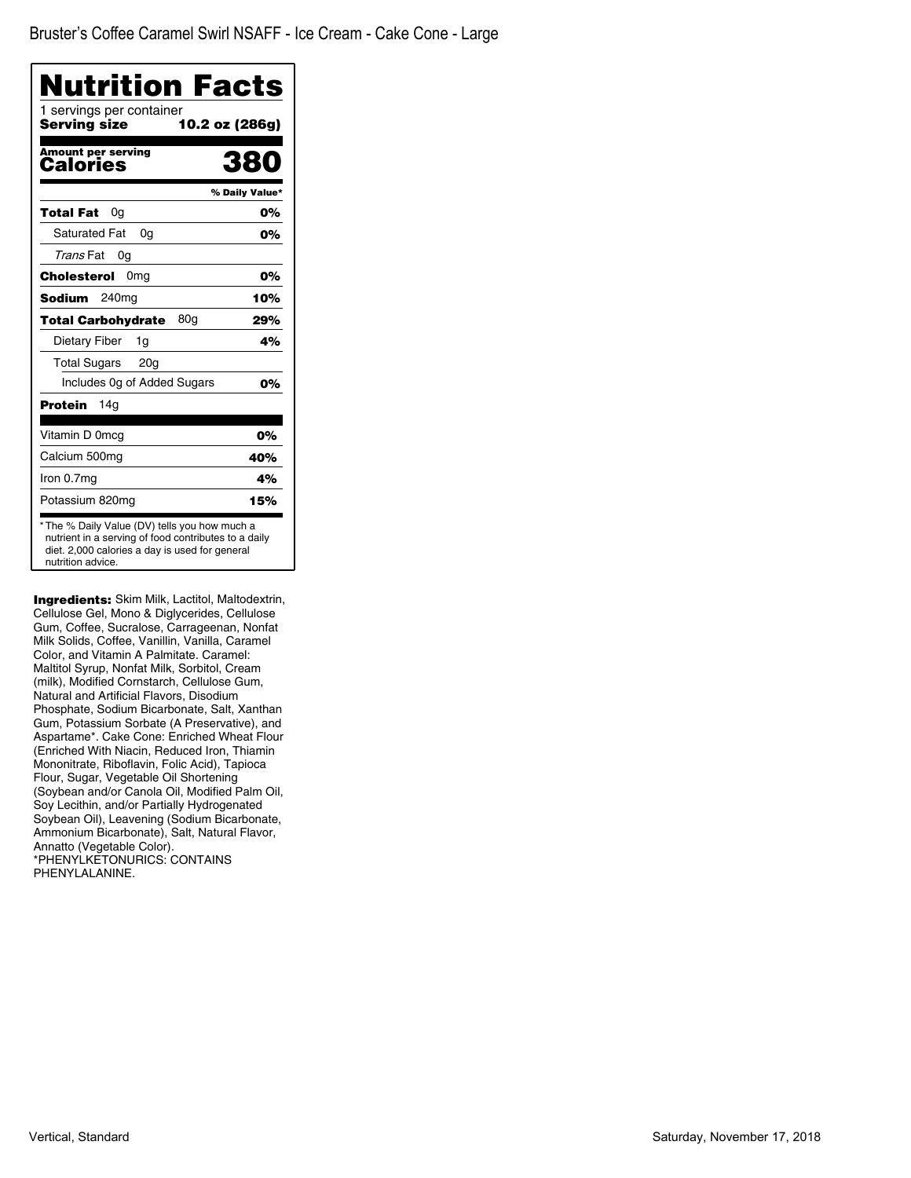| <b>Nutrition Facts</b>                                                                                                                                                      |                |
|-----------------------------------------------------------------------------------------------------------------------------------------------------------------------------|----------------|
| 1 servings per container<br>Serving size                                                                                                                                    | 10.2 oz (286g) |
| <b>Amount per serving</b><br>Calories                                                                                                                                       | 380            |
|                                                                                                                                                                             | % Daily Value* |
| Total Fat<br>0a                                                                                                                                                             | 0%             |
| <b>Saturated Fat</b><br>0g                                                                                                                                                  | 0%             |
| Trans Fat<br>0a                                                                                                                                                             |                |
| 0 <sub>mg</sub><br>Cholesterol                                                                                                                                              | 0%             |
| 240 <sub>mg</sub><br>Sodium                                                                                                                                                 | 10%            |
| 80a<br><b>Total Carbohydrate</b>                                                                                                                                            | 29%            |
| Dietary Fiber<br>1g                                                                                                                                                         | 4%             |
| <b>Total Sugars</b><br>20 <sub>q</sub>                                                                                                                                      |                |
| Includes 0g of Added Sugars                                                                                                                                                 | 0%             |
| Protein<br>14a                                                                                                                                                              |                |
| Vitamin D 0mcg                                                                                                                                                              | 0%             |
| Calcium 500mg                                                                                                                                                               | 40%            |
| Iron 0.7mg                                                                                                                                                                  | 4%             |
| Potassium 820mg                                                                                                                                                             | 15%            |
| * The % Daily Value (DV) tells you how much a<br>nutrient in a serving of food contributes to a daily<br>diet. 2,000 calories a day is used for general<br>nutrition advice |                |

**Ingredients:** Skim Milk, Lactitol, Maltodextrin, Cellulose Gel, Mono & Diglycerides, Cellulose Gum, Coffee, Sucralose, Carrageenan, Nonfat Milk Solids, Coffee, Vanillin, Vanilla, Caramel Color, and Vitamin A Palmitate. Caramel: Maltitol Syrup, Nonfat Milk, Sorbitol, Cream (milk), Modified Cornstarch, Cellulose Gum, Natural and Artificial Flavors, Disodium Phosphate, Sodium Bicarbonate, Salt, Xanthan Gum, Potassium Sorbate (A Preservative), and Aspartame\*. Cake Cone: Enriched Wheat Flour (Enriched With Niacin, Reduced Iron, Thiamin Mononitrate, Riboflavin, Folic Acid), Tapioca Flour, Sugar, Vegetable Oil Shortening (Soybean and/or Canola Oil, Modified Palm Oil, Soy Lecithin, and/or Partially Hydrogenated Soybean Oil), Leavening (Sodium Bicarbonate, Ammonium Bicarbonate), Salt, Natural Flavor, Annatto (Vegetable Color). \*PHENYLKETONURICS: CONTAINS PHENYLALANINE.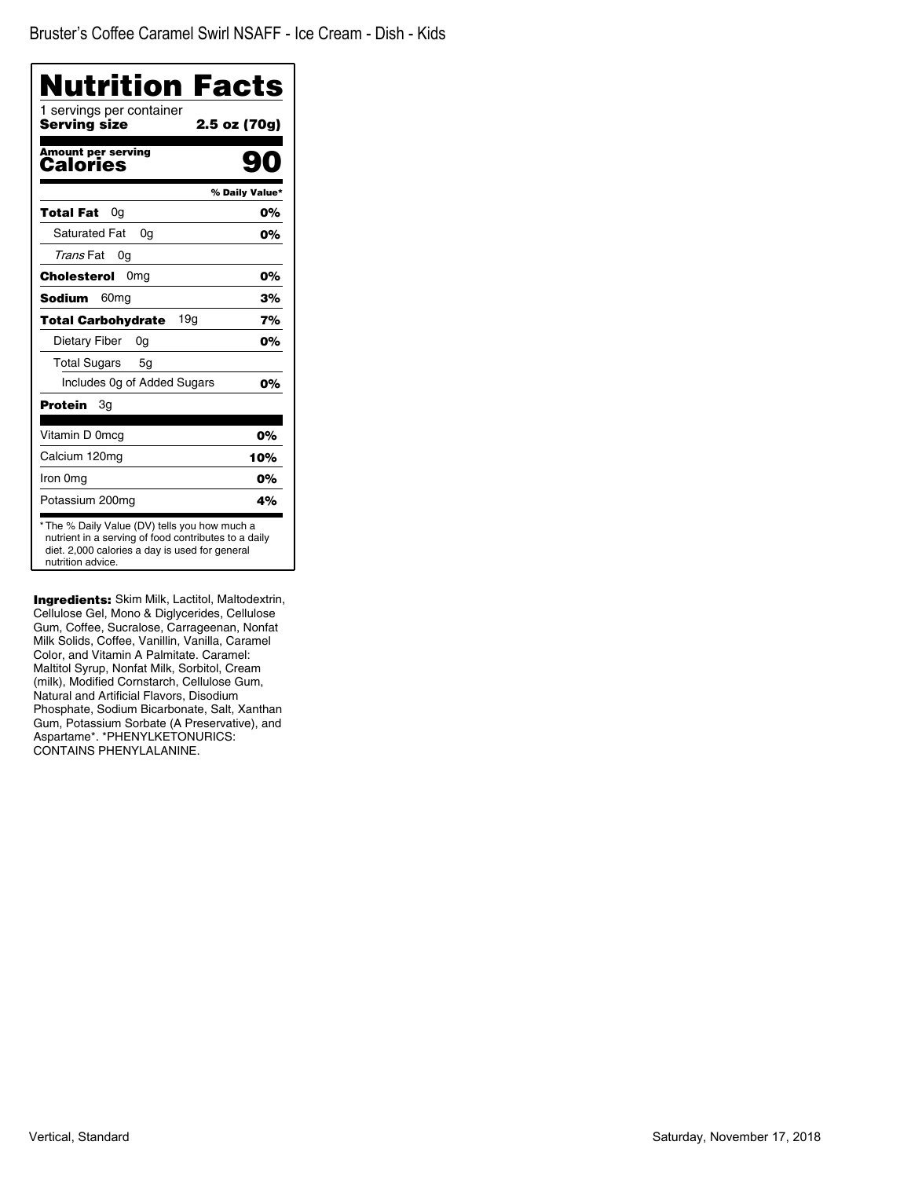| <b>Nutrition Facts</b>                          |                |
|-------------------------------------------------|----------------|
| 1 servings per container<br><b>Serving size</b> | 2.5 oz (70g)   |
| <b>Amount per serving</b><br>Calories           |                |
|                                                 | % Daily Value* |
| 0a<br>Total Fat                                 | 0%             |
| <b>Saturated Fat</b><br>0a                      | 0%             |
| Trans Fat<br>0g                                 |                |
| Cholesterol<br>0 <sub>mg</sub>                  | 0%             |
| <b>Sodium</b><br>60 <sub>mq</sub>               | 3%             |
| 19q<br><b>Total Carbohydrate</b>                | 7%             |
| Dietary Fiber<br>0g                             | 0%             |
| <b>Total Sugars</b><br>5g                       |                |
| Includes 0g of Added Sugars                     | 0%             |
| <b>Protein</b><br>Зq                            |                |
| Vitamin D 0mcg                                  | 0%             |
| Calcium 120mg                                   | 10%            |
| Iron 0mg                                        | 0%             |
| Potassium 200mg                                 | 4%             |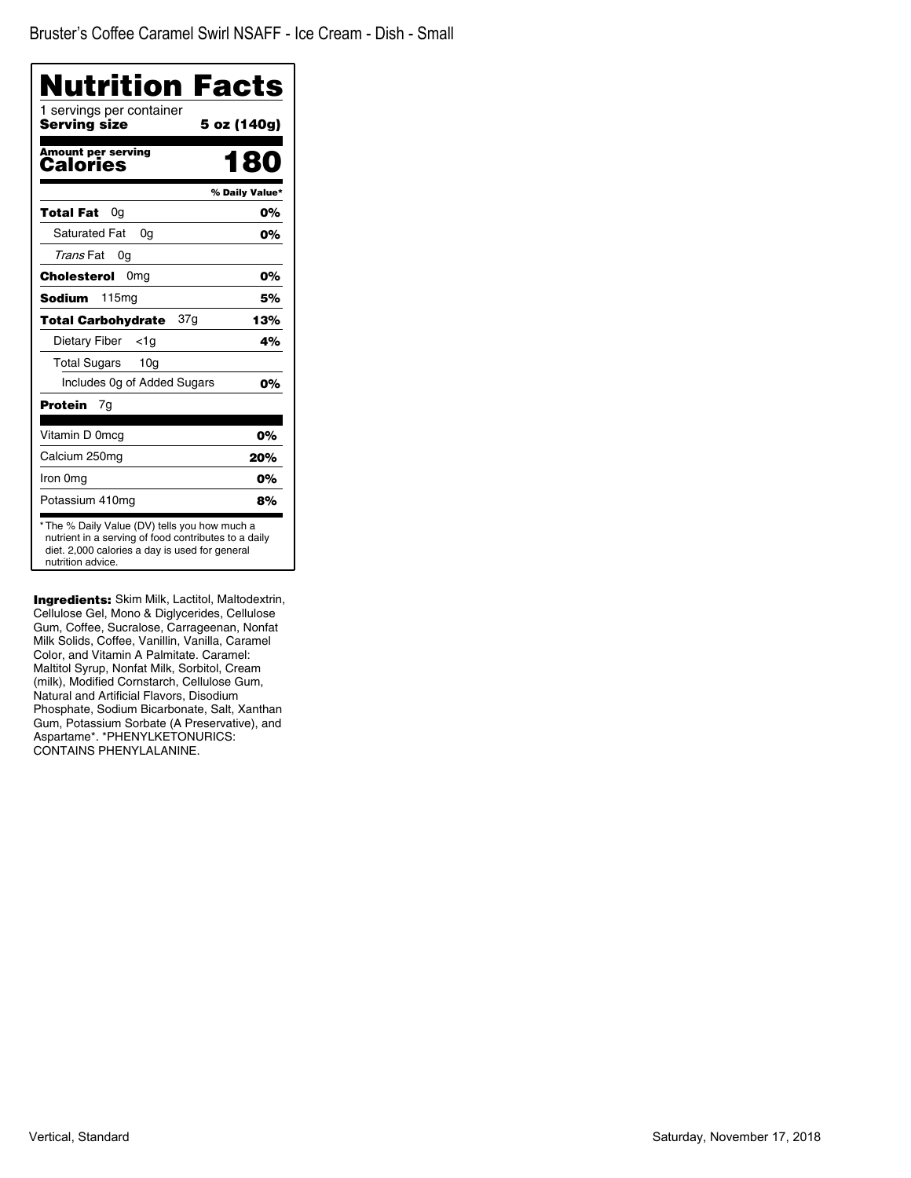| <b>Nutrition Facts</b><br>1 servings per container                                                                                                                           |                |
|------------------------------------------------------------------------------------------------------------------------------------------------------------------------------|----------------|
| <b>Serving size</b>                                                                                                                                                          | 5 oz (140g)    |
| <b>Amount per serving</b><br>Calories                                                                                                                                        | 180            |
|                                                                                                                                                                              | % Daily Value* |
| 0a<br>Total Fat                                                                                                                                                              | 0%             |
| <b>Saturated Fat</b><br>0a                                                                                                                                                   | 0%             |
| Trans Fat<br>0g                                                                                                                                                              |                |
| Cholesterol<br>0 <sub>mg</sub>                                                                                                                                               | 0%             |
| <b>Sodium</b><br>115 <sub>mg</sub>                                                                                                                                           | 5%             |
| 37g<br><b>Total Carbohydrate</b>                                                                                                                                             | 13%            |
| Dietary Fiber<br><1g                                                                                                                                                         | 4%             |
| Total Sugars<br>10 <sub>q</sub>                                                                                                                                              |                |
| Includes 0g of Added Sugars                                                                                                                                                  | 0%             |
| Protein<br>7q                                                                                                                                                                |                |
| Vitamin D 0mcg                                                                                                                                                               | 0%             |
| Calcium 250mg                                                                                                                                                                | 20%            |
| Iron 0mg                                                                                                                                                                     | 0%             |
| Potassium 410mg                                                                                                                                                              | 8%             |
| * The % Daily Value (DV) tells you how much a<br>nutrient in a serving of food contributes to a daily<br>diet. 2,000 calories a day is used for general<br>nutrition advice. |                |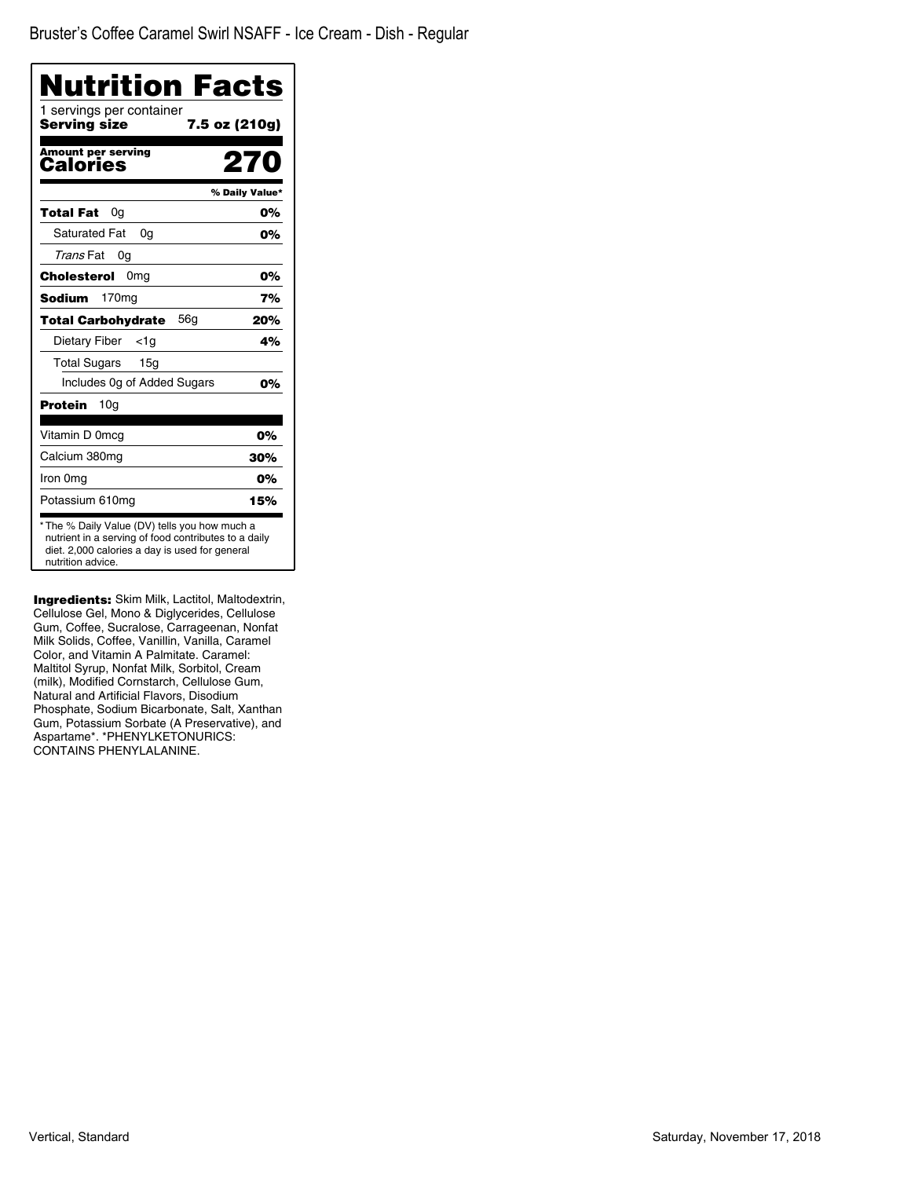| <b>Nutrition Facts</b><br>1 servings per container                                                                                                                           |                |
|------------------------------------------------------------------------------------------------------------------------------------------------------------------------------|----------------|
| Serving size                                                                                                                                                                 | 7.5 oz (210g)  |
| <b>Amount per serving</b><br>Calories                                                                                                                                        | 270            |
|                                                                                                                                                                              | % Daily Value* |
| Total Fat<br>0a                                                                                                                                                              | 0%             |
| Saturated Fat<br>0a                                                                                                                                                          | 0%             |
| Trans Fat<br>0g                                                                                                                                                              |                |
| 0 <sub>mg</sub><br>Cholesterol                                                                                                                                               | 0%             |
| 170 <sub>mg</sub><br>Sodium                                                                                                                                                  | 7%             |
| 56a<br><b>Total Carbohydrate</b>                                                                                                                                             | 20%            |
| Dietary Fiber<br><1a                                                                                                                                                         | 4%             |
| <b>Total Sugars</b><br>15 <sub>q</sub>                                                                                                                                       |                |
| Includes Og of Added Sugars                                                                                                                                                  | 0%             |
| Protein<br>10a                                                                                                                                                               |                |
| Vitamin D 0mcg                                                                                                                                                               | 0%             |
| Calcium 380mg                                                                                                                                                                | 30%            |
| Iron 0mg                                                                                                                                                                     | 0%             |
| Potassium 610mg                                                                                                                                                              | 15%            |
| * The % Daily Value (DV) tells you how much a<br>nutrient in a serving of food contributes to a daily<br>diet. 2,000 calories a day is used for general<br>nutrition advice. |                |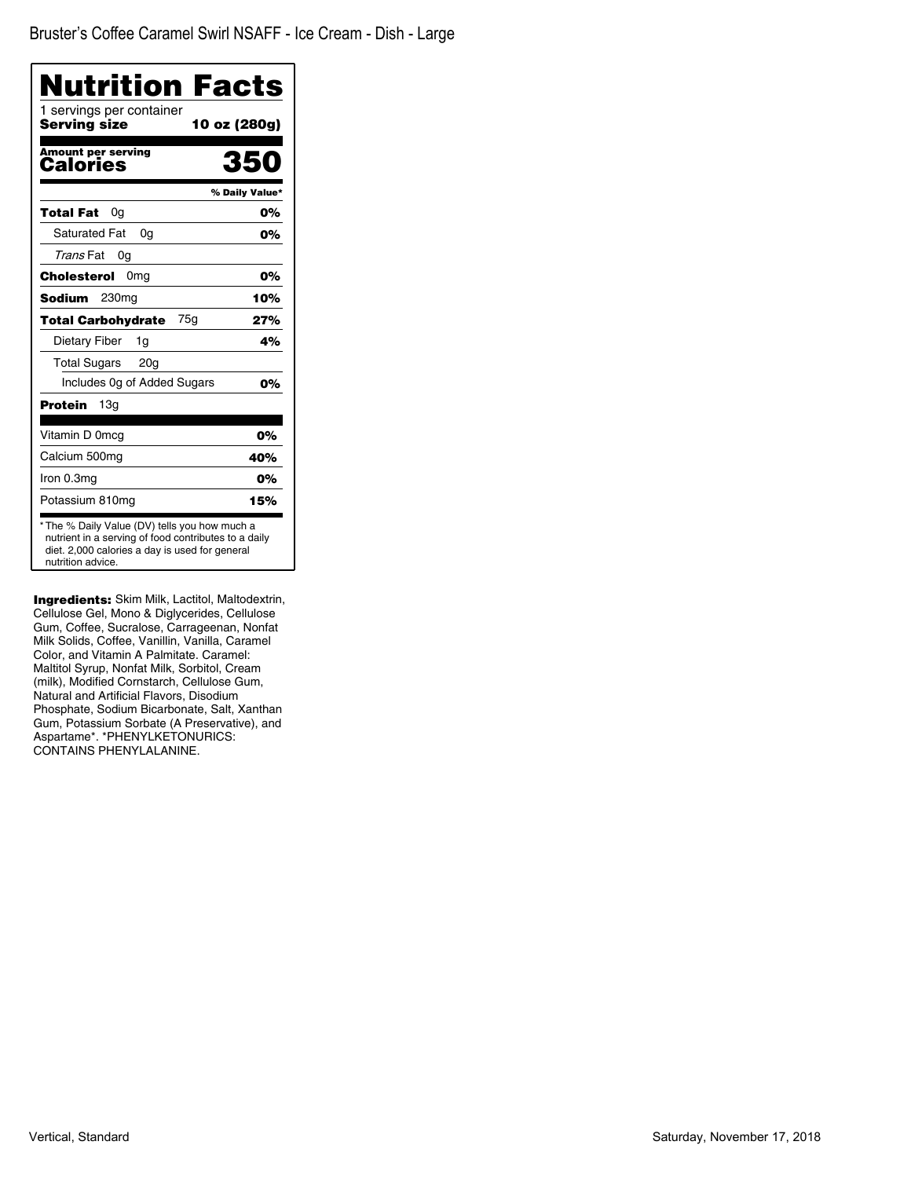| Nutrition Facts                                                                                                                                                              |                |
|------------------------------------------------------------------------------------------------------------------------------------------------------------------------------|----------------|
| 1 servings per container<br>Serving size<br>10 oz (280g)                                                                                                                     |                |
| <b>Amount per serving</b><br>Calories                                                                                                                                        | 350            |
|                                                                                                                                                                              | % Daily Value* |
| 0g<br>Total Fat                                                                                                                                                              | 0%             |
| <b>Saturated Fat</b><br>0a                                                                                                                                                   | 0%             |
| Trans Fat<br>0g                                                                                                                                                              |                |
| Cholesterol<br>0 <sub>mg</sub>                                                                                                                                               | 0%             |
| 230 <sub>mg</sub><br>Sodium                                                                                                                                                  | 10%            |
| 75g<br><b>Total Carbohydrate</b>                                                                                                                                             | 27%            |
| Dietary Fiber<br>1g                                                                                                                                                          | 4%             |
| <b>Total Sugars</b><br>20 <sub>g</sub>                                                                                                                                       |                |
| Includes Og of Added Sugars                                                                                                                                                  | 0%             |
| 13a<br>Protein                                                                                                                                                               |                |
| Vitamin D 0mcg                                                                                                                                                               | 0%             |
| Calcium 500mg                                                                                                                                                                | 40%            |
| Iron 0.3mg                                                                                                                                                                   | 0%             |
| Potassium 810mg                                                                                                                                                              | 15%            |
| * The % Daily Value (DV) tells you how much a<br>nutrient in a serving of food contributes to a daily<br>diet. 2,000 calories a day is used for general<br>nutrition advice. |                |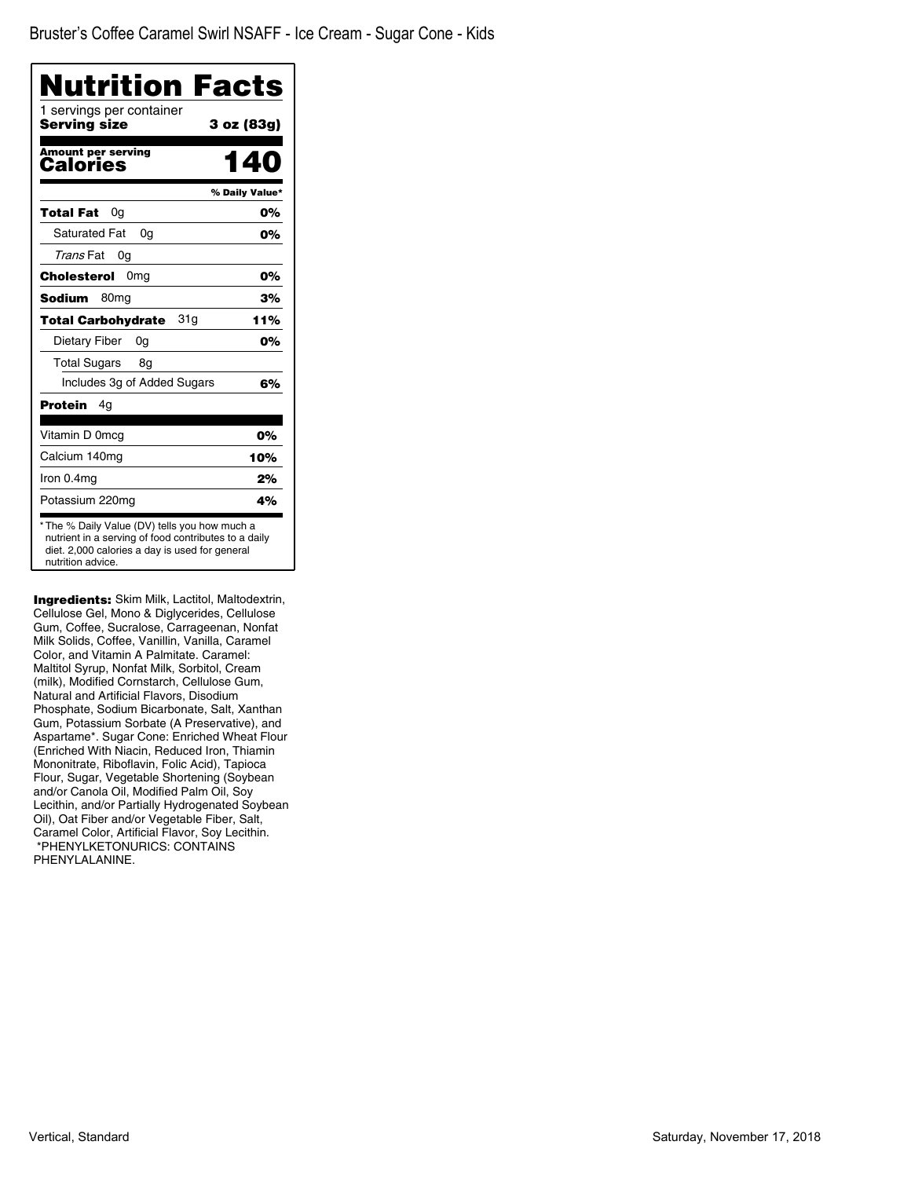| Nutrition Facts<br>1 servings per container |                |
|---------------------------------------------|----------------|
| Serving size                                | 3 oz (83g)     |
| <b>Amount per serving</b><br>Calories       | 40             |
|                                             | % Daily Value* |
| <b>Total Fat</b><br>0g                      | 0%             |
| Saturated Fat<br>0a                         | 0%             |
| Trans Fat<br>0g                             |                |
| Cholesterol<br>0 <sub>mg</sub>              | 0%             |
| <b>Sodium</b><br>80 <sub>mq</sub>           | 3%             |
| 31g<br><b>Total Carbohydrate</b>            | 11%            |
| Dietary Fiber<br>0g                         | 0%             |
| <b>Total Sugars</b><br>8g                   |                |
| Includes 3g of Added Sugars                 | 6%             |
| Protein<br>4g                               |                |
| Vitamin D 0mcg                              | 0%             |
| Calcium 140mg                               | 10%            |
| Iron 0.4mg                                  | 2%             |
| Potassium 220mg                             | 4%             |

**Ingredients:** Skim Milk, Lactitol, Maltodextrin, Cellulose Gel, Mono & Diglycerides, Cellulose Gum, Coffee, Sucralose, Carrageenan, Nonfat Milk Solids, Coffee, Vanillin, Vanilla, Caramel Color, and Vitamin A Palmitate. Caramel: Maltitol Syrup, Nonfat Milk, Sorbitol, Cream (milk), Modified Cornstarch, Cellulose Gum, Natural and Artificial Flavors, Disodium Phosphate, Sodium Bicarbonate, Salt, Xanthan Gum, Potassium Sorbate (A Preservative), and Aspartame\*. Sugar Cone: Enriched Wheat Flour (Enriched With Niacin, Reduced Iron, Thiamin Mononitrate, Riboflavin, Folic Acid), Tapioca Flour, Sugar, Vegetable Shortening (Soybean and/or Canola Oil, Modified Palm Oil, Soy Lecithin, and/or Partially Hydrogenated Soybean Oil), Oat Fiber and/or Vegetable Fiber, Salt, Caramel Color, Artificial Flavor, Soy Lecithin. \*PHENYLKETONURICS: CONTAINS PHENYLALANINE.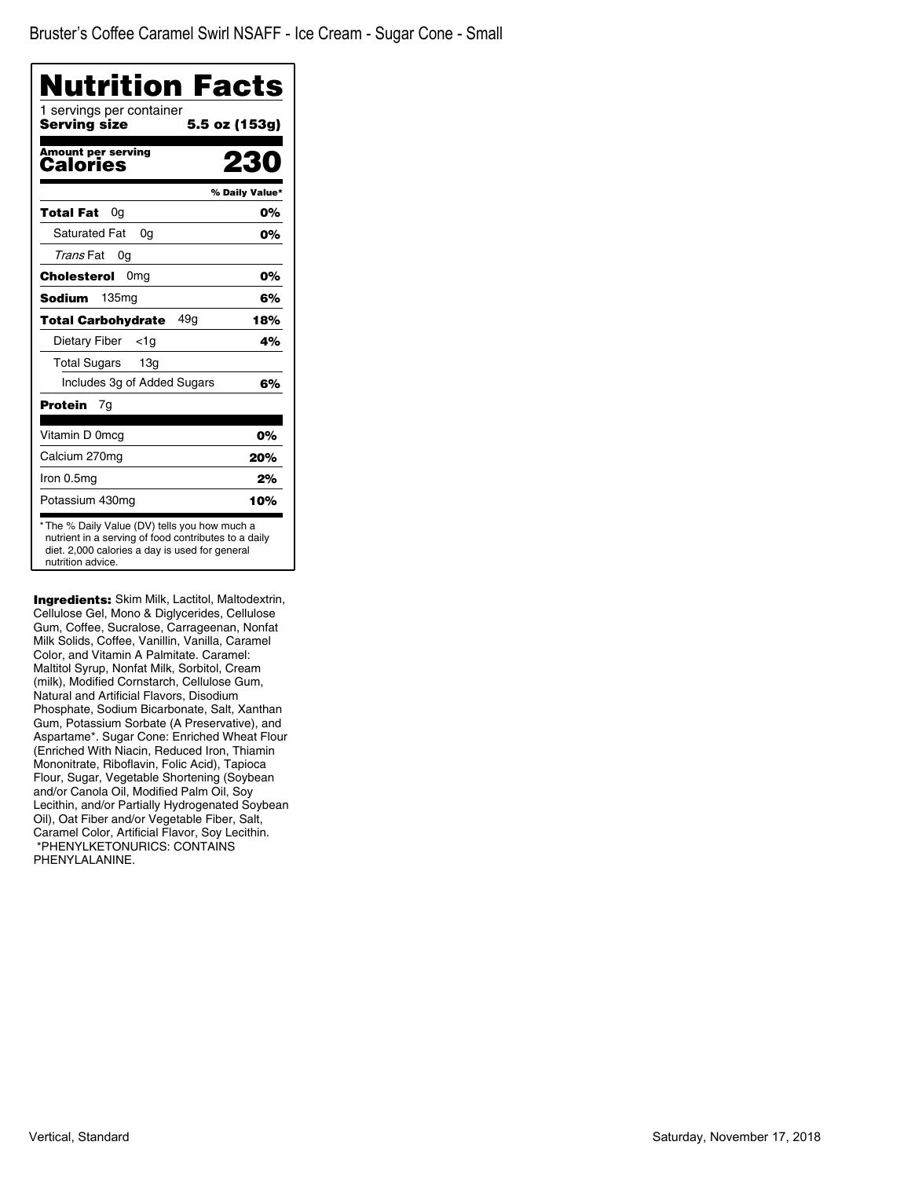| <b>Nutrition Facts</b>                   |                |
|------------------------------------------|----------------|
| 1 servings per container<br>Serving size | 5.5 oz (153g)  |
| <b>Amount per serving</b><br>Calories    | 22             |
|                                          | % Daily Value* |
| Total Fat<br>0g                          | 0%             |
| <b>Saturated Fat</b><br>0a               | 0%             |
| Trans Fat<br>0g                          |                |
| Cholesterol<br>0 <sub>mg</sub>           | 0%             |
| Sodium<br>135mg                          | 6%             |
| 49a<br><b>Total Carbohydrate</b>         | 18%            |
| Dietary Fiber<br><1a                     | 4%             |
| <b>Total Sugars</b><br>13 <sub>q</sub>   |                |
| Includes 3g of Added Sugars              | 6%             |
| Protein<br>7g                            |                |
| Vitamin D 0mcg                           | 0%             |
| Calcium 270mg                            | 20%            |
| Iron 0.5mg                               | 2%             |
| Potassium 430mg                          | 10%            |

**Ingredients:** Skim Milk, Lactitol, Maltodextrin, Cellulose Gel, Mono & Diglycerides, Cellulose Gum, Coffee, Sucralose, Carrageenan, Nonfat Milk Solids, Coffee, Vanillin, Vanilla, Caramel Color, and Vitamin A Palmitate. Caramel: Maltitol Syrup, Nonfat Milk, Sorbitol, Cream (milk), Modified Cornstarch, Cellulose Gum, Natural and Artificial Flavors, Disodium Phosphate, Sodium Bicarbonate, Salt, Xanthan Gum, Potassium Sorbate (A Preservative), and Aspartame\*. Sugar Cone: Enriched Wheat Flour (Enriched With Niacin, Reduced Iron, Thiamin Mononitrate, Riboflavin, Folic Acid), Tapioca Flour, Sugar, Vegetable Shortening (Soybean and/or Canola Oil, Modified Palm Oil, Soy Lecithin, and/or Partially Hydrogenated Soybean Oil), Oat Fiber and/or Vegetable Fiber, Salt, Caramel Color, Artificial Flavor, Soy Lecithin. \*PHENYLKETONURICS: CONTAINS PHENYLALANINE.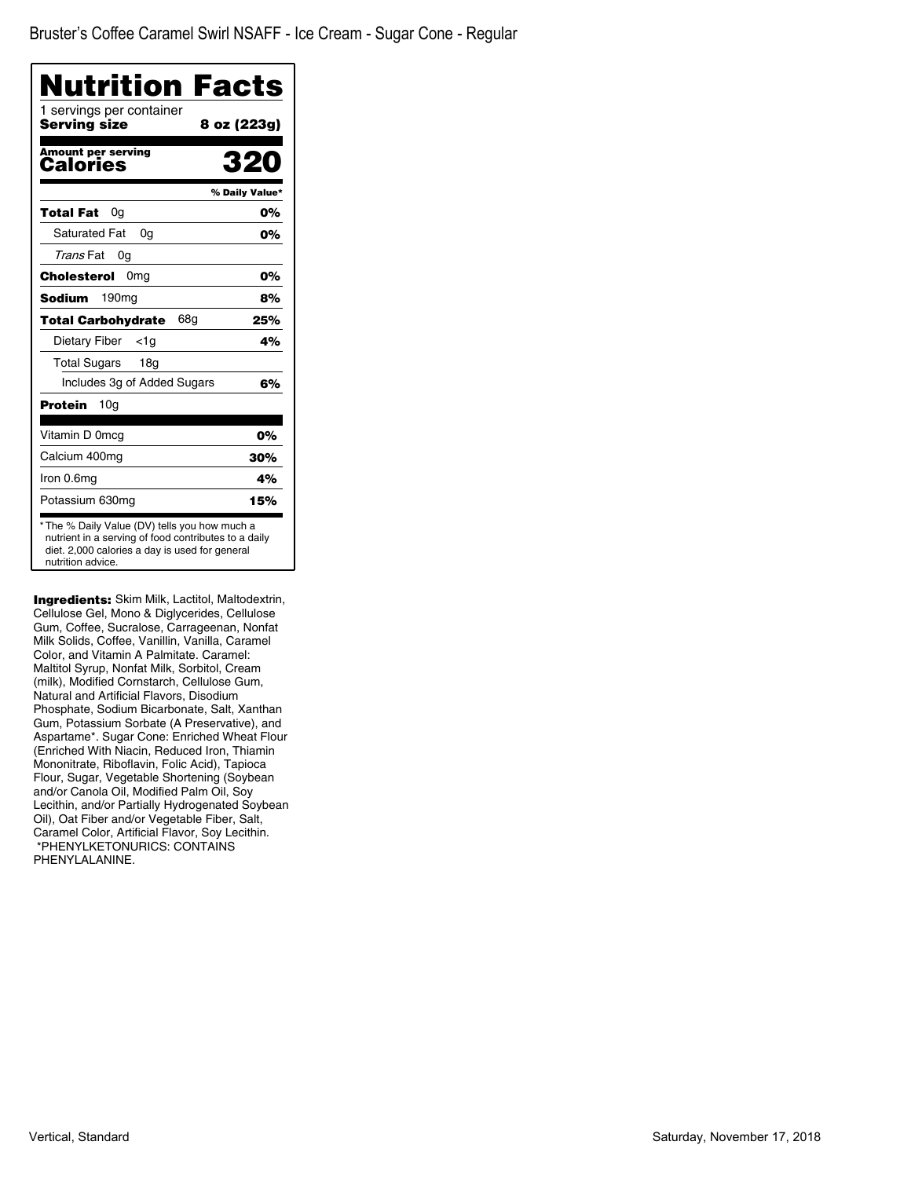| 1 servings per container<br>Serving size     |                |
|----------------------------------------------|----------------|
|                                              | 8 oz (223g)    |
| <b>Amount per serving</b><br><b>Calories</b> | 320            |
|                                              | % Daily Value* |
| Total Fat<br>0g                              | 0%             |
| <b>Saturated Fat</b><br>0a                   | 0%             |
| Trans Fat<br>0g                              |                |
| 0 <sub>mg</sub><br>Cholesterol               | 0%             |
| <b>Sodium</b><br>190 <sub>mg</sub>           | 8%             |
| 68g<br><b>Total Carbohydrate</b>             | 25%            |
| Dietary Fiber<br>$<$ 1g                      | 4%             |
| <b>Total Sugars</b><br>18g                   |                |
| Includes 3g of Added Sugars                  | 6%             |
| <b>Protein</b><br>10g                        |                |
| Vitamin D 0mcg                               | 0%             |
| Calcium 400mg                                | 30%            |
| Iron 0.6mg                                   | 4%             |
| Potassium 630mg                              | 15%            |

Ingredients: Skim Milk, Lactitol, Maltodextrin, Cellulose Gel, Mono & Diglycerides, Cellulose Gum, Coffee, Sucralose, Carrageenan, Nonfat Milk Solids, Coffee, Vanillin, Vanilla, Caramel Color, and Vitamin A Palmitate. Caramel: Maltitol Syrup, Nonfat Milk, Sorbitol, Cream (milk), Modified Cornstarch, Cellulose Gum, Natural and Artificial Flavors, Disodium Phosphate, Sodium Bicarbonate, Salt, Xanthan Gum, Potassium Sorbate (A Preservative), and Aspartame\*. Sugar Cone: Enriched Wheat Flour (Enriched With Niacin, Reduced Iron, Thiamin Mononitrate, Riboflavin, Folic Acid), Tapioca Flour, Sugar, Vegetable Shortening (Soybean and/or Canola Oil, Modified Palm Oil, Soy Lecithin, and/or Partially Hydrogenated Soybean Oil), Oat Fiber and/or Vegetable Fiber, Salt, Caramel Color, Artificial Flavor, Soy Lecithin. \*PHENYLKETONURICS: CONTAINS PHENYLALANINE.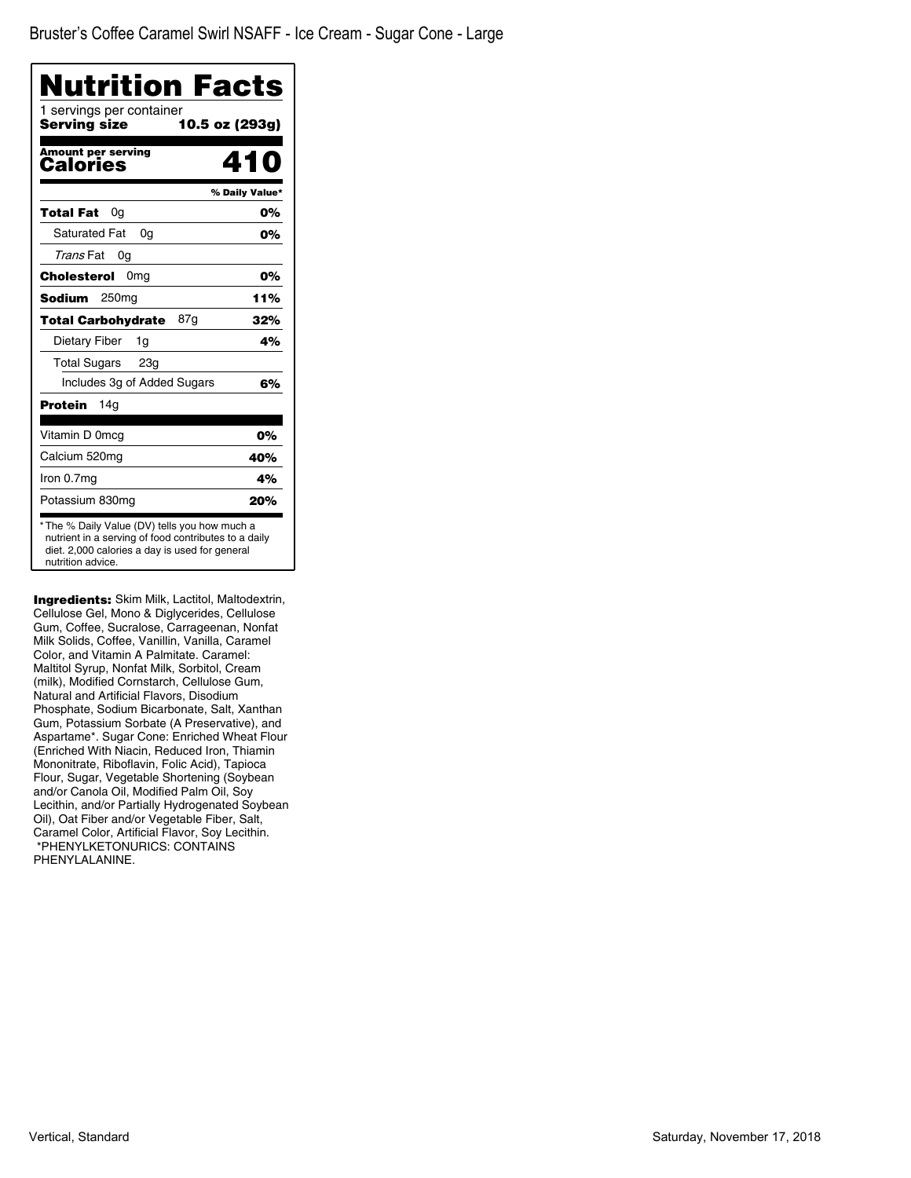| Nutrition Facts<br>1 servings per container |                |
|---------------------------------------------|----------------|
| Serving size                                | 10.5 oz (293g) |
| <b>Amount per serving</b><br>Calories       | 410            |
|                                             | % Daily Value* |
| Total Fat<br>0a                             | 0%             |
| <b>Saturated Fat</b><br>0a                  | 0%             |
| Trans Fat<br>0g                             |                |
| Cholesterol<br>0 <sub>mg</sub>              | 0%             |
| Sodium<br>250 <sub>mg</sub>                 | 11%            |
| 87g<br><b>Total Carbohydrate</b>            | 32%            |
| Dietary Fiber<br>1g                         | 4%             |
| Total Sugars 23g                            |                |
| Includes 3g of Added Sugars                 | 6%             |
| Protein<br>14a                              |                |
| Vitamin D 0mcg                              | 0%             |
| Calcium 520mg                               | 40%            |
| Iron 0.7mg                                  | 4%             |
| Potassium 830mg                             | 20%            |

**Ingredients:** Skim Milk, Lactitol, Maltodextrin, Cellulose Gel, Mono & Diglycerides, Cellulose Gum, Coffee, Sucralose, Carrageenan, Nonfat Milk Solids, Coffee, Vanillin, Vanilla, Caramel Color, and Vitamin A Palmitate. Caramel: Maltitol Syrup, Nonfat Milk, Sorbitol, Cream (milk), Modified Cornstarch, Cellulose Gum, Natural and Artificial Flavors, Disodium Phosphate, Sodium Bicarbonate, Salt, Xanthan Gum, Potassium Sorbate (A Preservative), and Aspartame\*. Sugar Cone: Enriched Wheat Flour (Enriched With Niacin, Reduced Iron, Thiamin Mononitrate, Riboflavin, Folic Acid), Tapioca Flour, Sugar, Vegetable Shortening (Soybean and/or Canola Oil, Modified Palm Oil, Soy Lecithin, and/or Partially Hydrogenated Soybean Oil), Oat Fiber and/or Vegetable Fiber, Salt, Caramel Color, Artificial Flavor, Soy Lecithin. \*PHENYLKETONURICS: CONTAINS PHENYLALANINE.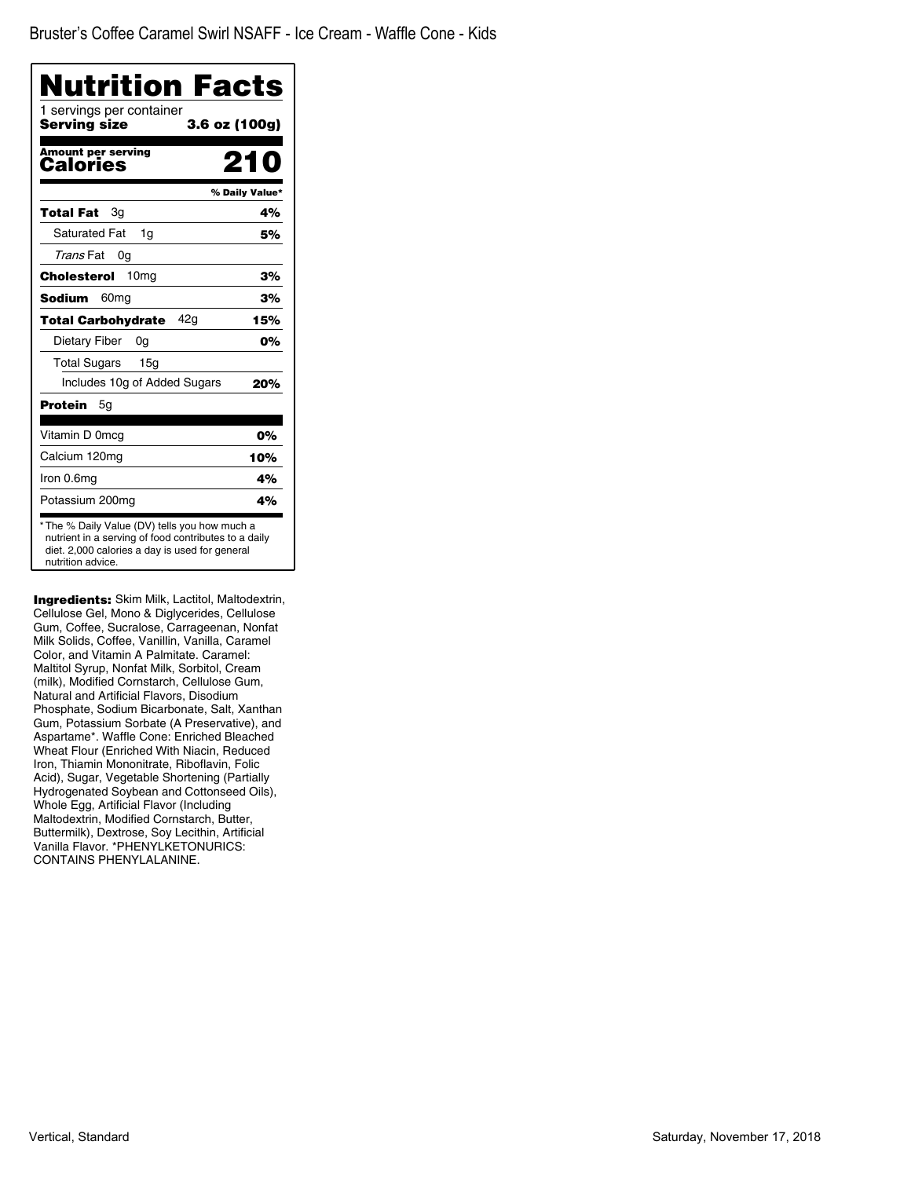| Nutrition Facts                          |                |
|------------------------------------------|----------------|
| 1 servings per container<br>Serving size | 3.6 oz (100g)  |
| <b>Amount per serving</b><br>Calories    |                |
|                                          | % Daily Value* |
| Total Fat<br>Зg                          | 4%             |
| <b>Saturated Fat</b><br>1g               | 5%             |
| Trans Fat<br>0g                          |                |
| 10mg<br>Cholesterol                      | 3%             |
| Sodium<br>60 <sub>mq</sub>               | 3%             |
| 42a<br><b>Total Carbohydrate</b>         | 15%            |
| Dietary Fiber<br>0g                      | 0%             |
| <b>Total Sugars</b><br>15 <sub>q</sub>   |                |
| Includes 10g of Added Sugars             | 20%            |
| Protein<br>5g                            |                |
| Vitamin D 0mcg                           | 0%             |
| Calcium 120mg                            | 10%            |
| Iron 0.6mg                               | 4%             |
| Potassium 200mg                          | 4%             |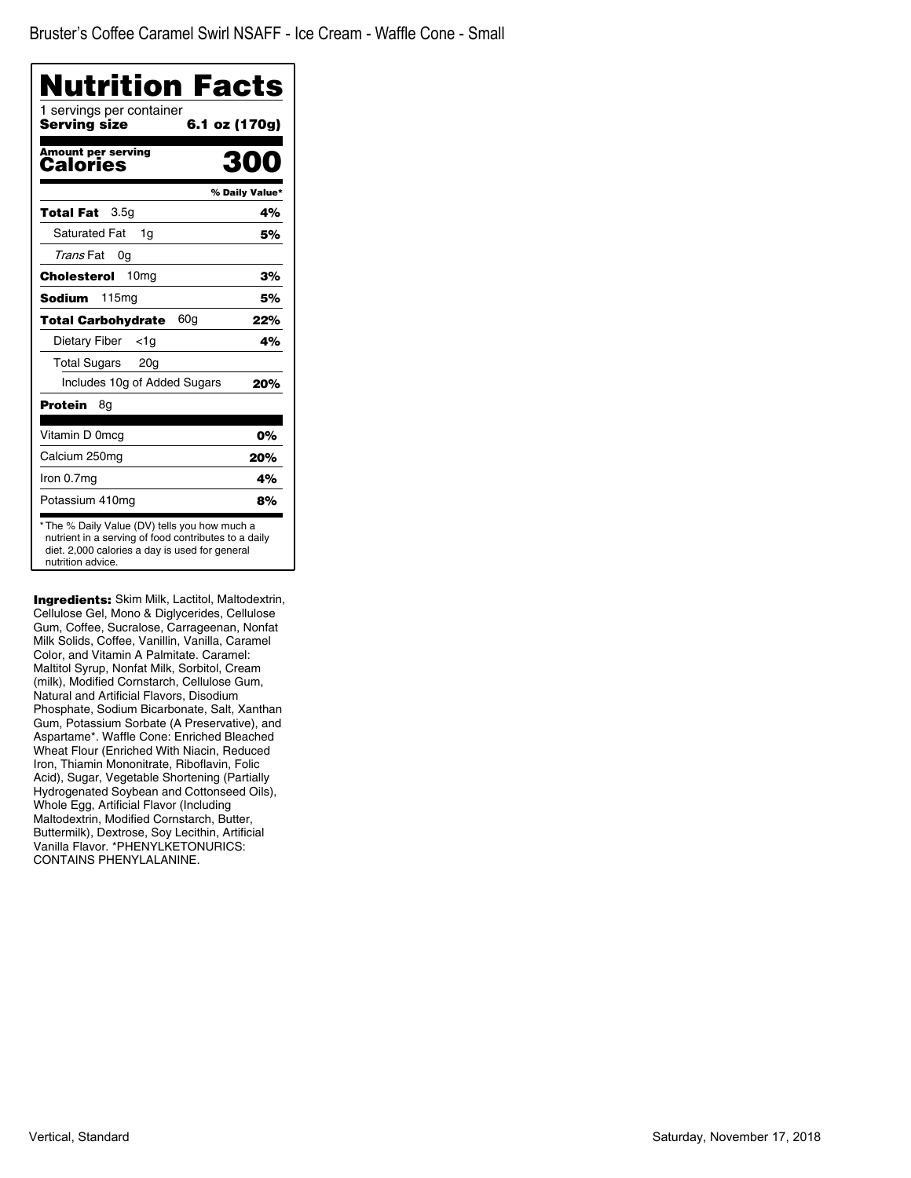| Nutrition Facts                          |                |
|------------------------------------------|----------------|
| 1 servings per container<br>Serving size | 6.1 oz (170g)  |
| <b>Amount per serving</b><br>Calories    | RN             |
|                                          | % Daily Value* |
| 3.5 <sub>q</sub><br>Total Fat            | 4%             |
| <b>Saturated Fat</b><br>1q               | 5%             |
| Trans Fat<br>0g                          |                |
| Cholesterol<br>10 <sub>mq</sub>          | 3%             |
| 115 <sub>mg</sub><br><b>Sodium</b>       | 5%             |
| 60g<br>Total Carbohydrate                | 22%            |
| Dietary Fiber<br><1a                     | 4%             |
| <b>Total Sugars</b><br>20 <sub>g</sub>   |                |
| Includes 10g of Added Sugars             | 20%            |
| Protein<br>8g                            |                |
| Vitamin D 0mcg                           | 0%             |
| Calcium 250mg                            | 20%            |
| Iron 0.7mg                               | 4%             |
| Potassium 410mg                          | 8%             |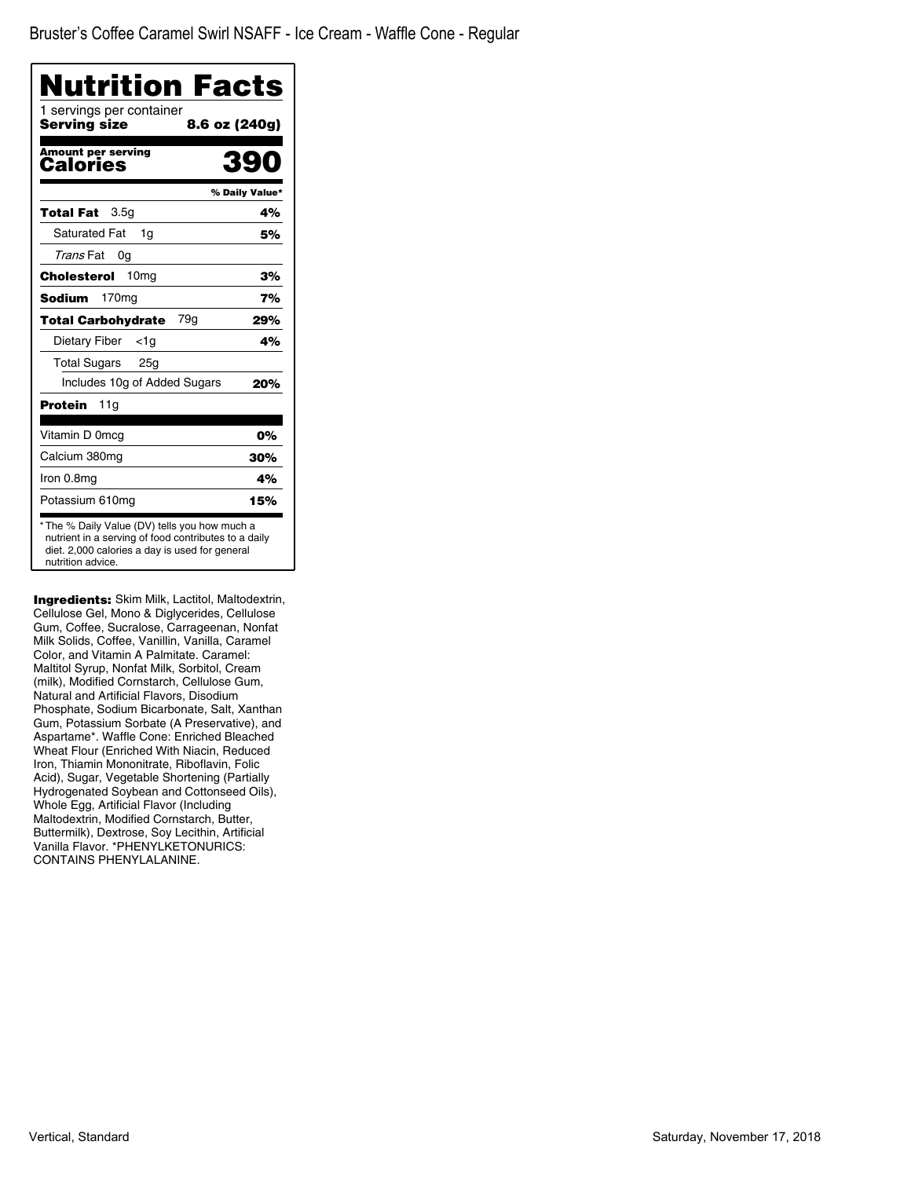| Nutrition Facts                          |                |
|------------------------------------------|----------------|
| 1 servings per container<br>Serving size | 8.6 oz (240g)  |
| <b>Amount per serving</b><br>Calories    | 390            |
|                                          | % Daily Value* |
| 3.5g<br>Total Fat                        | 4%             |
| <b>Saturated Fat</b><br>1q               | 5%             |
| Trans Fat<br>0g                          |                |
| 10 <sub>mg</sub><br>Cholesterol          | 3%             |
| <b>Sodium</b><br>170 <sub>mg</sub>       | 7%             |
| 79g<br><b>Total Carbohydrate</b>         | 29%            |
| Dietary Fiber<br><1a                     | 4%             |
| <b>Total Sugars</b><br>25g               |                |
| Includes 10g of Added Sugars             | 20%            |
| Protein<br>11g                           |                |
| Vitamin D 0mcg                           | 0%             |
| Calcium 380mg                            | 30%            |
| Iron 0.8mg                               | 4%             |
| Potassium 610mg                          | 15%            |